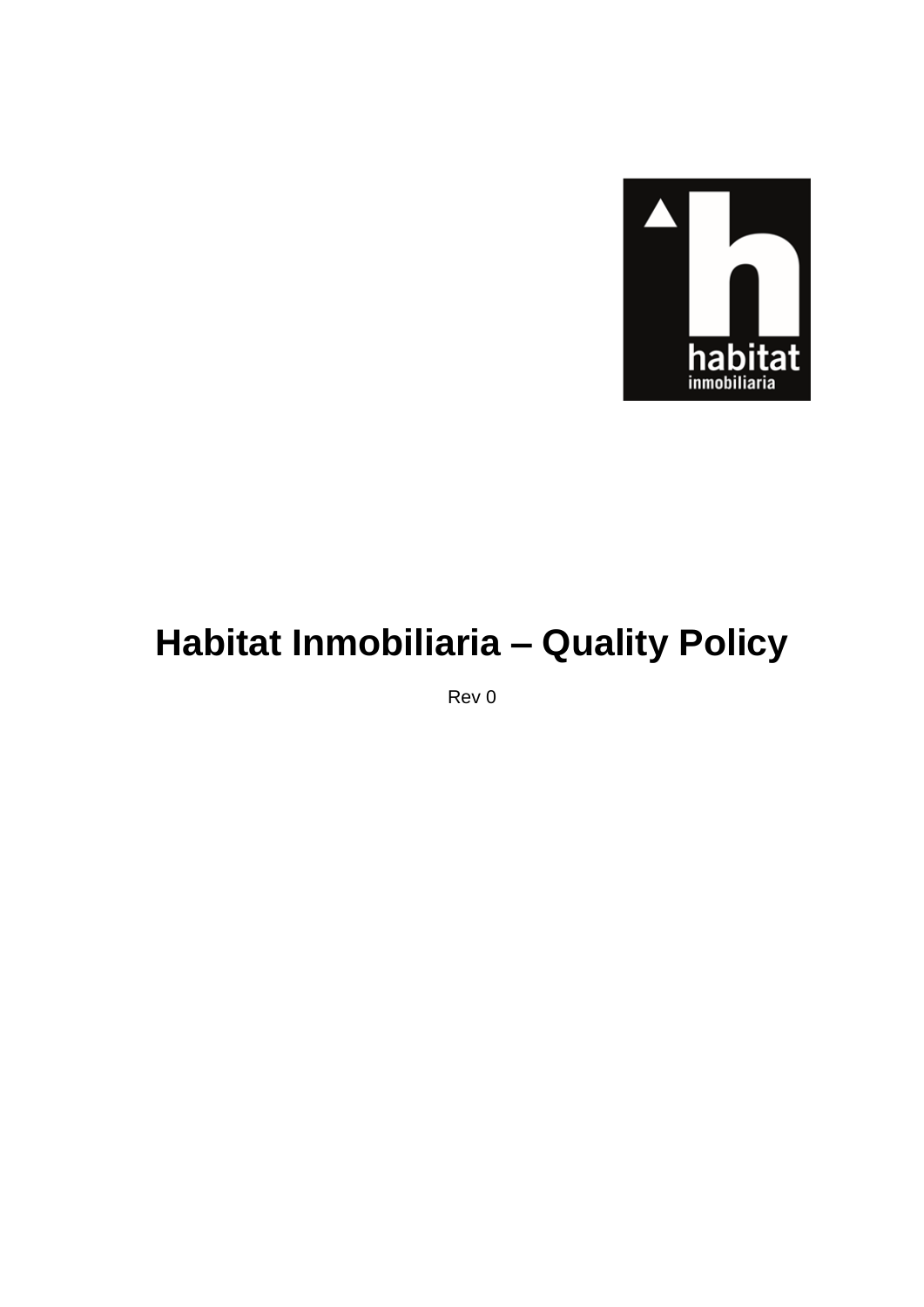

# Habitat Inmobiliaria - Quality Policy

Rev 0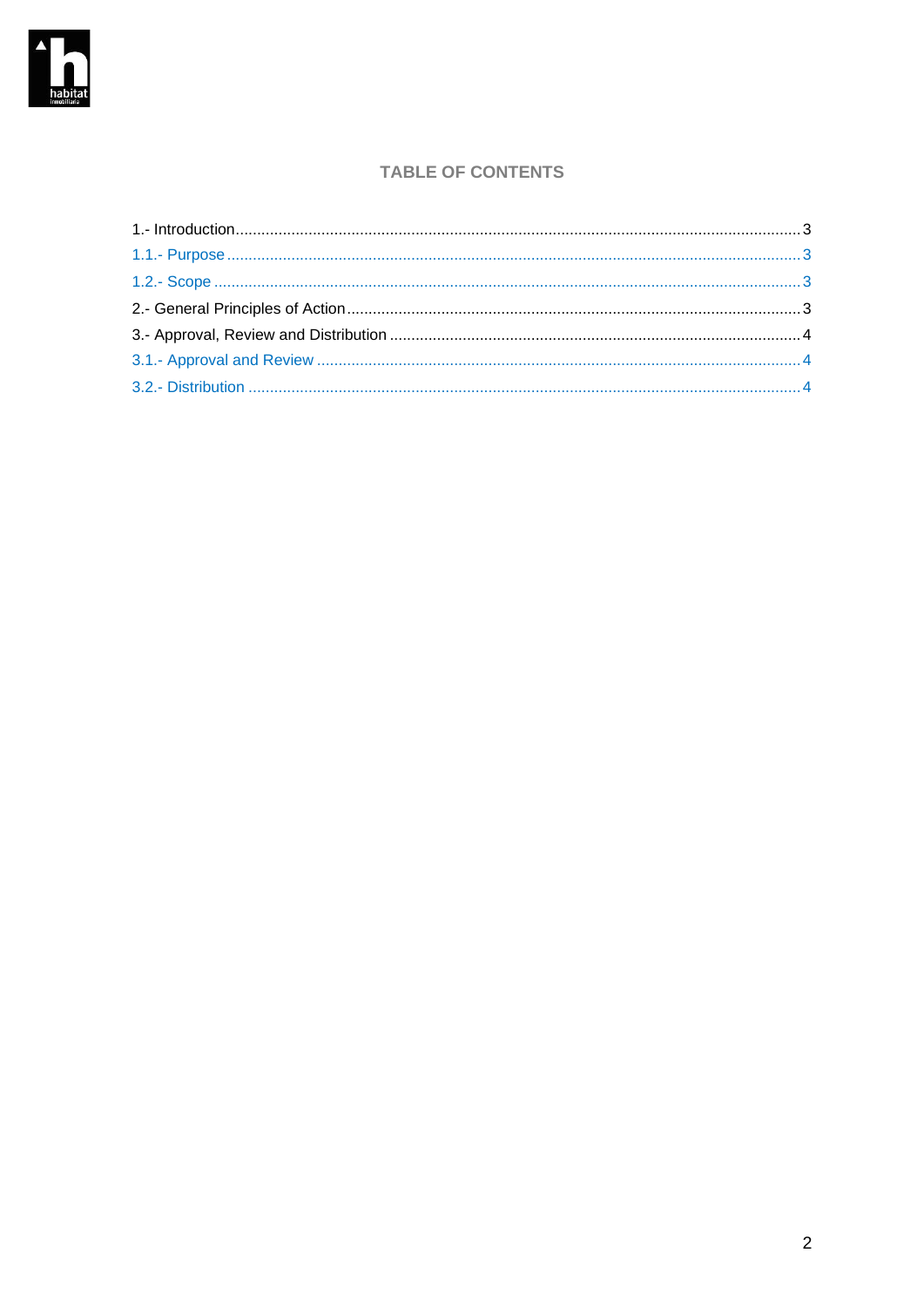

### **TABLE OF CONTENTS**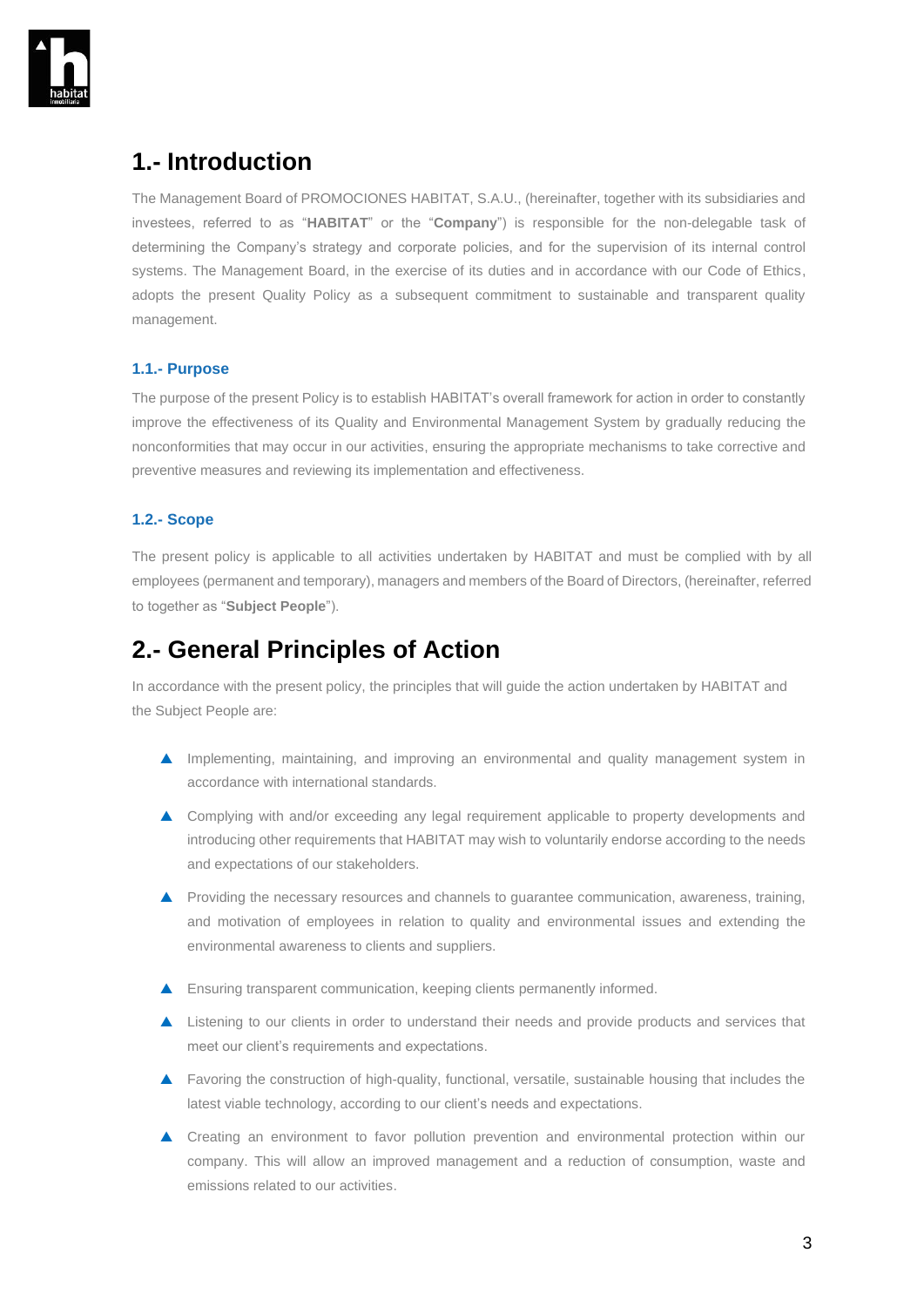

## <span id="page-2-0"></span>**1.- Introduction**

The Management Board of PROMOCIONES HABITAT, S.A.U., (hereinafter, together with its subsidiaries and investees, referred to as "**HABITAT**" or the "**Company**") is responsible for the non-delegable task of determining the Company's strategy and corporate policies, and for the supervision of its internal control systems. The Management Board, in the exercise of its duties and in accordance with our Code of Ethics, adopts the present Quality Policy as a subsequent commitment to sustainable and transparent quality management.

#### <span id="page-2-1"></span>**1.1.- Purpose**

The purpose of the present Policy is to establish HABITAT's overall framework for action in order to constantly improve the effectiveness of its Quality and Environmental Management System by gradually reducing the nonconformities that may occur in our activities, ensuring the appropriate mechanisms to take corrective and preventive measures and reviewing its implementation and effectiveness.

#### <span id="page-2-2"></span>**1.2.- Scope**

The present policy is applicable to all activities undertaken by HABITAT and must be complied with by all employees (permanent and temporary), managers and members of the Board of Directors, (hereinafter, referred to together as "**Subject People**").

### <span id="page-2-3"></span>**2.- General Principles of Action**

In accordance with the present policy, the principles that will guide the action undertaken by HABITAT and the Subject People are:

- **Implementing, maintaining, and improving an environmental and quality management system in** accordance with international standards.
- ▲ Complying with and/or exceeding any legal requirement applicable to property developments and introducing other requirements that HABITAT may wish to voluntarily endorse according to the needs and expectations of our stakeholders.
- **A** Providing the necessary resources and channels to guarantee communication, awareness, training, and motivation of employees in relation to quality and environmental issues and extending the environmental awareness to clients and suppliers.
- **A** Ensuring transparent communication, keeping clients permanently informed.
- **A** Listening to our clients in order to understand their needs and provide products and services that meet our client's requirements and expectations.
- Favoring the construction of high-quality, functional, versatile, sustainable housing that includes the latest viable technology, according to our client's needs and expectations.
- Creating an environment to favor pollution prevention and environmental protection within our company. This will allow an improved management and a reduction of consumption, waste and emissions related to our activities.